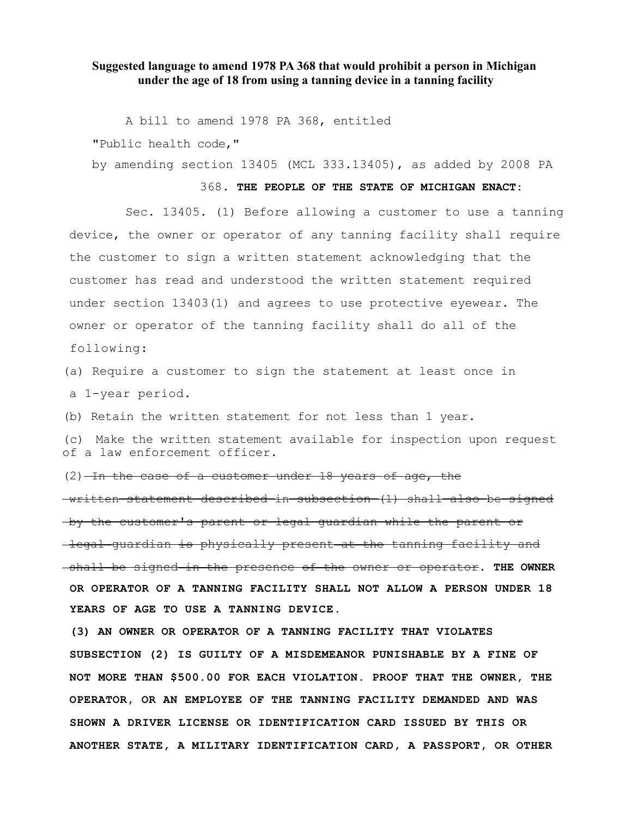## **Suggested language to amend 1978 PA 368 that would prohibit a person in Michigan under the age of 18 from using a tanning device in a tanning facility**

A bill to amend 1978 PA 368, entitled

"Public health code,"

by amending section 13405 (MCL 333.13405), as added by 2008 PA

## 368. **THE PEOPLE OF THE STATE OF MICHIGAN ENACT:**

Sec. 13405. (1) Before allowing a customer to use a tanning device, the owner or operator of any tanning facility shall require the customer to sign a written statement acknowledging that the customer has read and understood the written statement required under section 13403(1) and agrees to use protective eyewear. The owner or operator of the tanning facility shall do all of the following:

(a) Require a customer to sign the statement at least once in a 1-year period.

(b) Retain the written statement for not less than 1 year.

(c) Make the written statement available for inspection upon request of a law enforcement officer.

 $(2)$  -In the case of a customer under 18 years of age, the

written statement described in subsection (1) shall also be signed by the customer's parent or legal guardian while the parent or legal guardian is physically present at the tanning facility and shall be signed in the presence of the owner or operator. **THE OWNER OR OPERATOR OF A TANNING FACILITY SHALL NOT ALLOW A PERSON UNDER 18 YEARS OF AGE TO USE A TANNING DEVICE.**

**(3) AN OWNER OR OPERATOR OF A TANNING FACILITY THAT VIOLATES SUBSECTION (2) IS GUILTY OF A MISDEMEANOR PUNISHABLE BY A FINE OF NOT MORE THAN \$500.00 FOR EACH VIOLATION. PROOF THAT THE OWNER, THE OPERATOR, OR AN EMPLOYEE OF THE TANNING FACILITY DEMANDED AND WAS SHOWN A DRIVER LICENSE OR IDENTIFICATION CARD ISSUED BY THIS OR ANOTHER STATE, A MILITARY IDENTIFICATION CARD, A PASSPORT, OR OTHER**